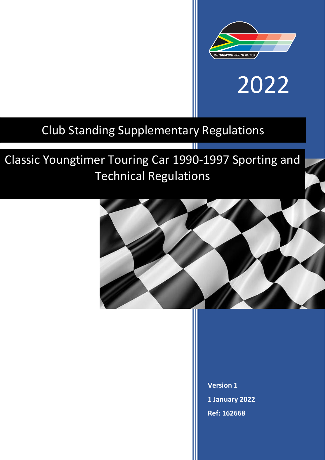

# 2022

### Club Standing Supplementary Regulations

## Classic Youngtimer Touring Car 1990-1997 Sporting and Technical Regulations



TIII

**Version 1 1 January 2022 Ref: 162668**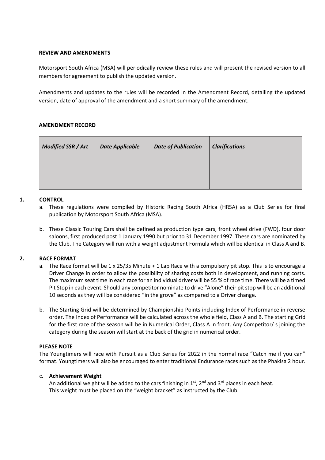#### **REVIEW AND AMENDMENTS**

Motorsport South Africa (MSA) will periodically review these rules and will present the revised version to all members for agreement to publish the updated version.

Amendments and updates to the rules will be recorded in the Amendment Record, detailing the updated version, date of approval of the amendment and a short summary of the amendment.

#### **AMENDMENT RECORD**

| <b>Modified SSR / Art</b> | <b>Date Applicable</b> | <b>Date of Publication</b> | <b>Clarifications</b> |
|---------------------------|------------------------|----------------------------|-----------------------|
|                           |                        |                            |                       |

#### **1. CONTROL**

- a. These regulations were compiled by Historic Racing South Africa (HRSA) as a Club Series for final publication by Motorsport South Africa (MSA).
- b. These Classic Touring Cars shall be defined as production type cars, front wheel drive (FWD), four door saloons, first produced post 1 January 1990 but prior to 31 December 1997. These cars are nominated by the Club. The Category will run with a weight adjustment Formula which will be identical in Class A and B.

#### **2. RACE FORMAT**

- a. The Race format will be 1 x 25/35 Minute + 1 Lap Race with a compulsory pit stop. This is to encourage a Driver Change in order to allow the possibility of sharing costs both in development, and running costs. The maximum seat time in each race for an individual driver will be 55 % of race time. There will be a timed Pit Stop in each event. Should any competitor nominate to drive "Alone" their pit stop will be an additional 10 seconds as they will be considered "in the grove" as compared to a Driver change.
- b. The Starting Grid will be determined by Championship Points including Index of Performance in reverse order. The Index of Performance will be calculated across the whole field, Class A and B. The starting Grid for the first race of the season will be in Numerical Order, Class A in front. Any Competitor/ s joining the category during the season will start at the back of the grid in numerical order.

#### **PLEASE NOTE**

The Youngtimers will race with Pursuit as a Club Series for 2022 in the normal race "Catch me if you can" format. Youngtimers will also be encouraged to enter traditional Endurance races such as the Phakisa 2 hour.

#### c. **Achievement Weight**

An additional weight will be added to the cars finishing in  $1<sup>st</sup>$ ,  $2<sup>nd</sup>$  and  $3<sup>rd</sup>$  places in each heat. This weight must be placed on the "weight bracket" as instructed by the Club.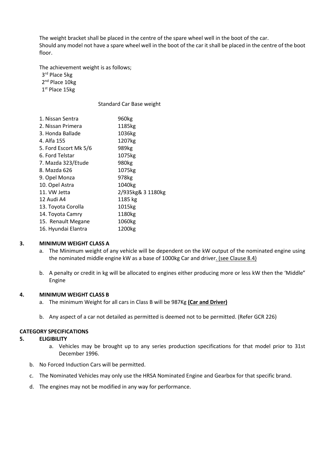The weight bracket shall be placed in the centre of the spare wheel well in the boot of the car. Should any model not have a spare wheel well in the boot of the car it shall be placed in the centre of the boot floor.

The achievement weight is as follows;

3<sup>rd</sup> Place 5kg 2<sup>nd</sup> Place 10kg

1 st Place 15kg

Standard Car Base weight

| 960kg             |  |  |
|-------------------|--|--|
| 1185kg            |  |  |
| 1036kg            |  |  |
| 1207kg            |  |  |
| 989kg             |  |  |
| 1075kg            |  |  |
| 980kg             |  |  |
| 1075kg            |  |  |
| 978kg             |  |  |
| 1040kg            |  |  |
| 2/935kg& 3 1180kg |  |  |
| 1185 kg           |  |  |
| 1015kg            |  |  |
| 1180kg            |  |  |
| 1060kg            |  |  |
| 1200kg            |  |  |
|                   |  |  |

#### **3. MINIMUM WEIGHT CLASS A**

- a. The Minimum weight of any vehicle will be dependent on the kW output of the nominated engine using the nominated middle engine kW as a base of 1000kg Car and driver. (see Clause 8.4)
- b. A penalty or credit in kg will be allocated to engines either producing more or less kW then the 'Middle" Engine

#### **4. MINIMUM WEIGHT CLASS B**

- a. The minimum Weight for all cars in Class B will be 987Kg **(Car and Driver)**
- b. Any aspect of a car not detailed as permitted is deemed not to be permitted. (Refer GCR 226)

#### **CATEGORY SPECIFICATIONS**

#### **5. ELIGIBILITY**

- a. Vehicles may be brought up to any series production specifications for that model prior to 31st December 1996.
- b. No Forced Induction Cars will be permitted.
- c. The Nominated Vehicles may only use the HRSA Nominated Engine and Gearbox for that specific brand.
- d. The engines may not be modified in any way for performance.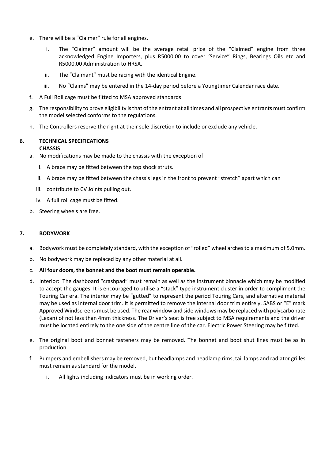- e. There will be a "Claimer" rule for all engines.
	- i. The "Claimer" amount will be the average retail price of the "Claimed" engine from three acknowledged Engine Importers, plus R5000.00 to cover 'Service" Rings, Bearings Oils etc and R5000.00 Administration to HRSA.
	- ii. The "Claimant" must be racing with the identical Engine.
	- iii. No "Claims" may be entered in the 14-day period before a Youngtimer Calendar race date.
- f. A Full Roll cage must be fitted to MSA approved standards
- g. The responsibility to prove eligibility is that of the entrant at all times and all prospective entrants must confirm the model selected conforms to the regulations.
- h. The Controllers reserve the right at their sole discretion to include or exclude any vehicle.

#### **6. TECHNICAL SPECIFICATIONS CHASSIS**

- a. No modifications may be made to the chassis with the exception of:
	- i. A brace may be fitted between the top shock struts.
	- ii. A brace may be fitted between the chassis legs in the front to prevent "stretch" apart which can
	- iii. contribute to CV Joints pulling out.
	- iv. A full roll cage must be fitted.
- b. Steering wheels are free.

#### **7. BODYWORK**

- a. Bodywork must be completely standard, with the exception of "rolled" wheel arches to a maximum of 5.0mm.
- b. No bodywork may be replaced by any other material at all.
- c. **All four doors, the bonnet and the boot must remain operable.**
- d. Interior: The dashboard "crashpad" must remain as well as the instrument binnacle which may be modified to accept the gauges. It is encouraged to utilise a "stack" type instrument cluster in order to compliment the Touring Car era. The interior may be "gutted" to represent the period Touring Cars, and alternative material may be used as internal door trim. It is permitted to remove the internal door trim entirely. SABS or "E" mark Approved Windscreens must be used. The rear window and side windows may be replaced with polycarbonate (Lexan) of not less than 4mm thickness. The Driver's seat is free subject to MSA requirements and the driver must be located entirely to the one side of the centre line of the car. Electric Power Steering may be fitted.
- e. The original boot and bonnet fasteners may be removed. The bonnet and boot shut lines must be as in production.
- f. Bumpers and embellishers may be removed, but headlamps and headlamp rims, tail lamps and radiator grilles must remain as standard for the model.
	- i. All lights including indicators must be in working order.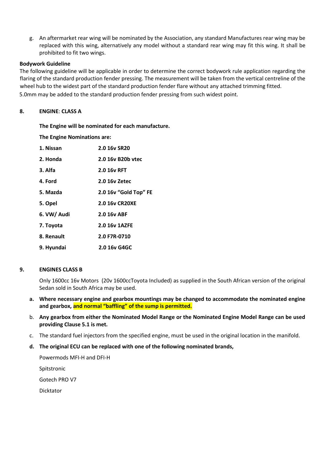g. An aftermarket rear wing will be nominated by the Association, any standard Manufactures rear wing may be replaced with this wing, alternatively any model without a standard rear wing may fit this wing. It shall be prohibited to fit two wings.

#### **Bodywork Guideline**

The following guideline will be applicable in order to determine the correct bodywork rule application regarding the flaring of the standard production fender pressing. The measurement will be taken from the vertical centreline of the wheel hub to the widest part of the standard production fender flare without any attached trimming fitted. 5.0mm may be added to the standard production fender pressing from such widest point.

#### **8. ENGINE**: **CLASS A**

#### **The Engine will be nominated for each manufacture.**

**The Engine Nominations are:**

| 1. Nissan   | 2.0 16v SR20          |
|-------------|-----------------------|
| 2. Honda    | 2.0 16y B20b ytec     |
| 3. Alfa     | 2.0 16y RFT           |
| 4. Ford     | 2.0 16y Zetec         |
| 5. Mazda    | 2.0 16v "Gold Top" FE |
| 5. Opel     | 2.0 16v CR20XE        |
| 6. VW/ Audi | 2.0 16y ABF           |
| 7. Toyota   | 2.0 16v 1AZFE         |
| 8. Renault  | 2.0 F7R-0710          |
| 9. Hyundai  | 2.0 16y G4GC          |

#### **9. ENGINES CLASS B**

Only 1600cc 16v Motors (20v 1600ccToyota Included) as supplied in the South African version of the original Sedan sold in South Africa may be used.

- **a. Where necessary engine and gearbox mountings may be changed to accommodate the nominated engine and gearbox, and normal "baffling" of the sump is permitted.**
- b. **Any gearbox from either the Nominated Model Range or the Nominated Engine Model Range can be used providing Clause 5.1 is met.**
- c. The standard fuel injectors from the specified engine, must be used in the original location in the manifold.
- **d. The original ECU can be replaced with one of the following nominated brands,**

Powermods MFI-H and DFI-H Spitstronic Gotech PRO V7 Dicktator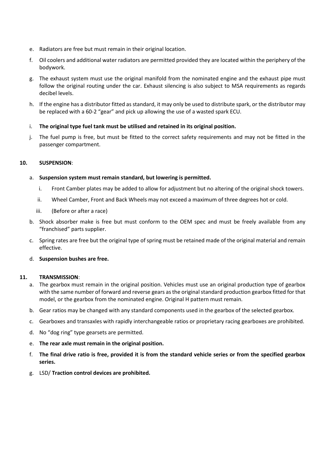- e. Radiators are free but must remain in their original location.
- f. Oil coolers and additional water radiators are permitted provided they are located within the periphery of the bodywork.
- g. The exhaust system must use the original manifold from the nominated engine and the exhaust pipe must follow the original routing under the car. Exhaust silencing is also subject to MSA requirements as regards decibel levels.
- h. If the engine has a distributor fitted as standard, it may only be used to distribute spark, or the distributor may be replaced with a 60-2 "gear" and pick up allowing the use of a wasted spark ECU.
- i. **The original type fuel tank must be utilised and retained in its original position.**
- j. The fuel pump is free, but must be fitted to the correct safety requirements and may not be fitted in the passenger compartment.

#### **10. SUSPENSION**:

#### a. **Suspension system must remain standard, but lowering is permitted.**

- i. Front Camber plates may be added to allow for adjustment but no altering of the original shock towers.
- ii. Wheel Camber, Front and Back Wheels may not exceed a maximum of three degrees hot or cold.
- iii. (Before or after a race)
- b. Shock absorber make is free but must conform to the OEM spec and must be freely available from any "franchised" parts supplier.
- c. Spring rates are free but the original type of spring must be retained made of the original material and remain effective.
- d. **Suspension bushes are free.**

#### **11. TRANSMISSION**:

- a. The gearbox must remain in the original position. Vehicles must use an original production type of gearbox with the same number of forward and reverse gears as the original standard production gearbox fitted for that model, or the gearbox from the nominated engine. Original H pattern must remain.
- b. Gear ratios may be changed with any standard components used in the gearbox of the selected gearbox.
- c. Gearboxes and transaxles with rapidly interchangeable ratios or proprietary racing gearboxes are prohibited.
- d. No "dog ring" type gearsets are permitted.
- e. **The rear axle must remain in the original position.**
- f. **The final drive ratio is free, provided it is from the standard vehicle series or from the specified gearbox series.**
- g. LSD/ **Traction control devices are prohibited.**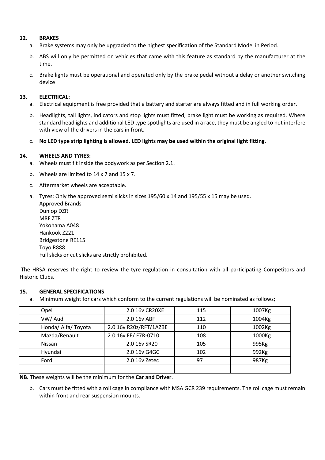#### **12. BRAKES**

- a. Brake systems may only be upgraded to the highest specification of the Standard Model in Period.
- b. ABS will only be permitted on vehicles that came with this feature as standard by the manufacturer at the time.
- c. Brake lights must be operational and operated only by the brake pedal without a delay or another switching device

#### **13. ELECTRICAL:**

- a. Electrical equipment is free provided that a battery and starter are always fitted and in full working order.
- b. Headlights, tail lights, indicators and stop lights must fitted, brake light must be working as required. Where standard headlights and additional LED type spotlights are used in a race, they must be angled to not interfere with view of the drivers in the cars in front.
- c. **No LED type strip lighting is allowed. LED lights may be used within the original light fitting.**

#### **14. WHEELS AND TYRES:**

- a. Wheels must fit inside the bodywork as per Section 2.1.
- b. Wheels are limited to 14 x 7 and 15 x 7.
- c. Aftermarket wheels are acceptable.
- a. Tyres: Only the approved semi slicks in sizes 195/60 x 14 and 195/55 x 15 may be used. Approved Brands

| Approved Brands                                    |
|----------------------------------------------------|
| Dunlop DZR                                         |
| <b>MRF ZTR</b>                                     |
| Yokohama A048                                      |
| Hankook 7221                                       |
| <b>Bridgestone RE115</b>                           |
| Toyo R888                                          |
| Full slicks or cut slicks are strictly prohibited. |

The HRSA reserves the right to review the tyre regulation in consultation with all participating Competitors and Historic Clubs.

#### **15. GENERAL SPECIFICATIONS**

a. Minimum weight for cars which conform to the current regulations will be nominated as follows;

| Opel                | 2.0 16v CR20XE         | 115 | 1007Kg |
|---------------------|------------------------|-----|--------|
| VW/ Audi            | 2.0 16v ABF            | 112 | 1004Kg |
| Honda/ Alfa/ Toyota | 2.0 16v R20z/RFT/1AZBE | 110 | 1002Kg |
| Mazda/Renault       | 2.0 16v FE/ F7R-0710   | 108 | 1000Kg |
| <b>Nissan</b>       | 2.0 16v SR20           | 105 | 995Kg  |
| Hyundai             | 2.0 16v G4GC           | 102 | 992Kg  |
| Ford                | 2.0 16 v Zetec         | 97  | 987Kg  |
|                     |                        |     |        |

**NB.** These weights will be the minimum for the **Car and Driver**.

b. Cars must be fitted with a roll cage in compliance with MSA GCR 239 requirements. The roll cage must remain within front and rear suspension mounts.